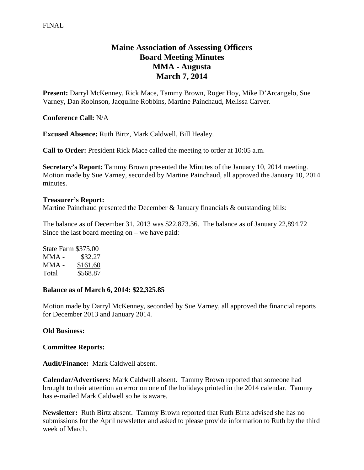# **Maine Association of Assessing Officers Board Meeting Minutes MMA - Augusta March 7, 2014**

**Present:** Darryl McKenney, Rick Mace, Tammy Brown, Roger Hoy, Mike D'Arcangelo, Sue Varney, Dan Robinson, Jacquline Robbins, Martine Painchaud, Melissa Carver.

**Conference Call:** N/A

**Excused Absence:** Ruth Birtz, Mark Caldwell, Bill Healey.

**Call to Order:** President Rick Mace called the meeting to order at 10:05 a.m.

**Secretary's Report:** Tammy Brown presented the Minutes of the January 10, 2014 meeting. Motion made by Sue Varney, seconded by Martine Painchaud, all approved the January 10, 2014 minutes.

#### **Treasurer's Report:**

Martine Painchaud presented the December & January financials & outstanding bills:

The balance as of December 31, 2013 was \$22,873.36. The balance as of January 22,894.72 Since the last board meeting on – we have paid:

State Farm \$375.00 MMA - \$32.27 MMA - \$161.60 Total \$568.87

#### **Balance as of March 6, 2014: \$22,325.85**

Motion made by Darryl McKenney, seconded by Sue Varney, all approved the financial reports for December 2013 and January 2014.

# **Old Business:**

# **Committee Reports:**

**Audit/Finance:** Mark Caldwell absent.

**Calendar/Advertisers:** Mark Caldwell absent. Tammy Brown reported that someone had brought to their attention an error on one of the holidays printed in the 2014 calendar. Tammy has e-mailed Mark Caldwell so he is aware.

**Newsletter:** Ruth Birtz absent. Tammy Brown reported that Ruth Birtz advised she has no submissions for the April newsletter and asked to please provide information to Ruth by the third week of March.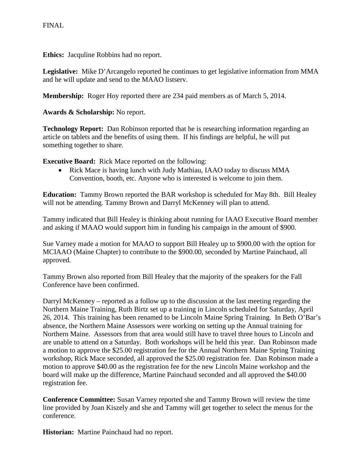**Ethics:** Jacquline Robbins had no report.

**Legislative:** Mike D'Arcangelo reported he continues to get legislative information from MMA and he will update and send to the MAAO listserv.

**Membership:** Roger Hoy reported there are 234 paid members as of March 5, 2014.

**Awards & Scholarship:** No report.

**Technology Report:** Dan Robinson reported that he is researching information regarding an article on tablets and the benefits of using them. If his findings are helpful, he will put something together to share.

**Executive Board:** Rick Mace reported on the following:

• Rick Mace is having lunch with Judy Mathiau, IAAO today to discuss MMA Convention, booth, etc. Anyone who is interested is welcome to join them.

**Education:** Tammy Brown reported the BAR workshop is scheduled for May 8th. Bill Healey will not be attending. Tammy Brown and Darryl McKenney will plan to attend.

Tammy indicated that Bill Healey is thinking about running for IAAO Executive Board member and asking if MAAO would support him in funding his campaign in the amount of \$900.

Sue Varney made a motion for MAAO to support Bill Healey up to \$900.00 with the option for MCIAAO (Maine Chapter) to contribute to the \$900.00, seconded by Martine Painchaud, all approved.

Tammy Brown also reported from Bill Healey that the majority of the speakers for the Fall Conference have been confirmed.

Darryl McKenney – reported as a follow up to the discussion at the last meeting regarding the Northern Maine Training, Ruth Birtz set up a training in Lincoln scheduled for Saturday, April 26, 2014. This training has been renamed to be Lincoln Maine Spring Training. In Beth O'Bar's absence, the Northern Maine Assessors were working on setting up the Annual training for Northern Maine. Assessors from that area would still have to travel three hours to Lincoln and are unable to attend on a Saturday. Both workshops will be held this year. Dan Robinson made a motion to approve the \$25.00 registration fee for the Annual Northern Maine Spring Training workshop, Rick Mace seconded, all approved the \$25.00 registration fee. Dan Robinson made a motion to approve \$40.00 as the registration fee for the new Lincoln Maine workshop and the board will make up the difference, Martine Painchaud seconded and all approved the \$40.00 registration fee.

**Conference Committee:** Susan Varney reported she and Tammy Brown will review the time line provided by Joan Kiszely and she and Tammy will get together to select the menus for the conference.

**Historian:** Martine Painchaud had no report.